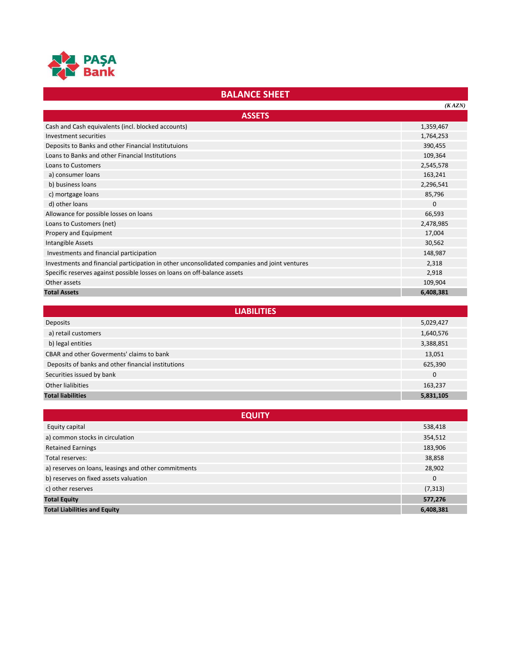

## **BALANCE SHEET**

|                                                                                              | (KAZN)    |
|----------------------------------------------------------------------------------------------|-----------|
| <b>ASSETS</b>                                                                                |           |
| Cash and Cash equivalents (incl. blocked accounts)                                           | 1,359,467 |
| Investment securities                                                                        | 1,764,253 |
| Deposits to Banks and other Financial Institutuions                                          | 390,455   |
| Loans to Banks and other Financial Institutions                                              | 109,364   |
| Loans to Customers                                                                           | 2,545,578 |
| a) consumer loans                                                                            | 163,241   |
| b) business loans                                                                            | 2,296,541 |
| c) mortgage loans                                                                            | 85,796    |
| d) other loans                                                                               | $\Omega$  |
| Allowance for possible losses on loans                                                       | 66,593    |
| Loans to Customers (net)                                                                     | 2,478,985 |
| Propery and Equipment                                                                        | 17,004    |
| Intangible Assets                                                                            | 30,562    |
| Investments and financial participation                                                      | 148,987   |
| Investments and financial participation in other unconsolidated companies and joint ventures | 2,318     |
| Specific reserves against possible losses on loans on off-balance assets                     | 2,918     |
| Other assets                                                                                 | 109,904   |
| <b>Total Assets</b>                                                                          | 6,408,381 |

| <b>LIABILITIES</b>                                 |           |
|----------------------------------------------------|-----------|
| Deposits                                           | 5,029,427 |
| a) retail customers                                | 1,640,576 |
| b) legal entities                                  | 3,388,851 |
| <b>CBAR and other Goverments' claims to bank</b>   | 13,051    |
| Deposits of banks and other financial institutions | 625,390   |
| Securities issued by bank                          | $\Omega$  |
| Other lialibities                                  | 163,237   |
| <b>Total liabilities</b>                           | 5,831,105 |

| <b>EQUITY</b>                                        |           |
|------------------------------------------------------|-----------|
| Equity capital                                       | 538,418   |
| a) common stocks in circulation                      | 354,512   |
| <b>Retained Earnings</b>                             | 183,906   |
| Total reserves:                                      | 38,858    |
| a) reserves on loans, leasings and other commitments | 28,902    |
| b) reserves on fixed assets valuation                | $\Omega$  |
| c) other reserves                                    | (7, 313)  |
| <b>Total Equity</b>                                  | 577,276   |
| <b>Total Liabilities and Equity</b>                  | 6,408,381 |